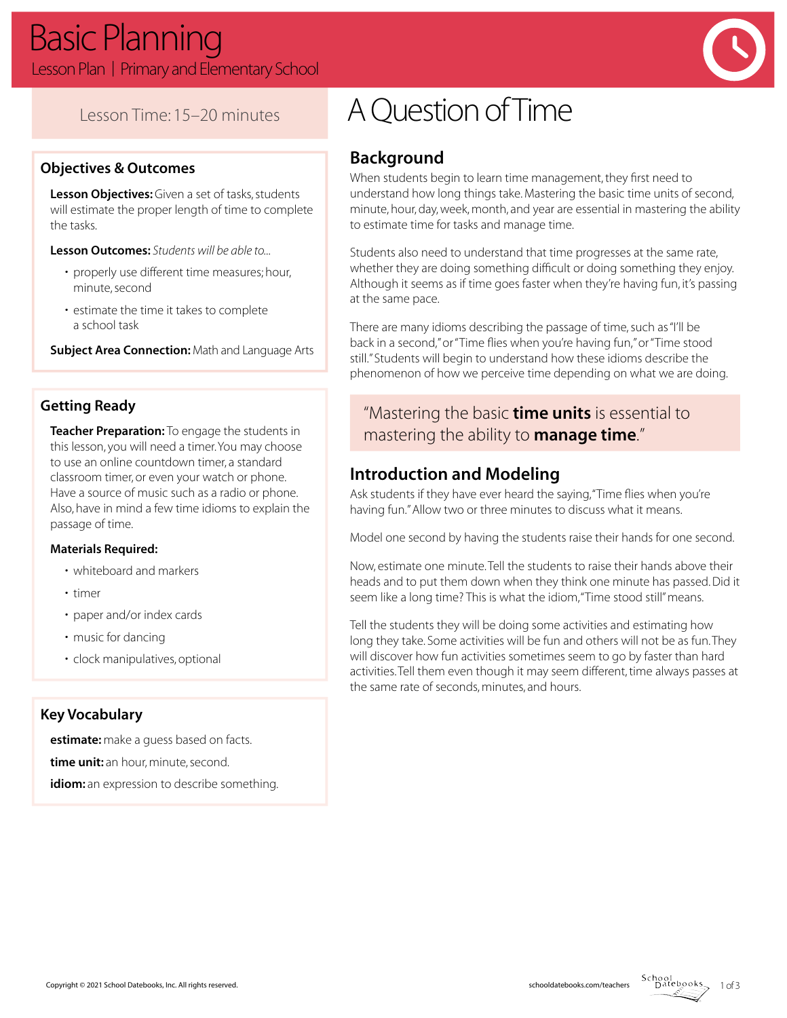

## Lesson Time: 15–20 minutes

#### **Objectives & Outcomes**

**Lesson Objectives:** Given a set of tasks, students will estimate the proper length of time to complete the tasks.

**Lesson Outcomes:** *Students will be able to...*

- properly use different time measures; hour, minute, second
- estimate the time it takes to complete a school task

**Subject Area Connection:** Math and Language Arts

#### **Getting Ready**

**Teacher Preparation:** To engage the students in this lesson, you will need a timer. You may choose to use an online countdown timer, a standard classroom timer, or even your watch or phone. Have a source of music such as a radio or phone. Also, have in mind a few time idioms to explain the passage of time.

#### **Materials Required:**

- whiteboard and markers
- timer
- paper and/or index cards
- music for dancing
- clock manipulatives, optional

#### **Key Vocabulary**

**estimate:** make a guess based on facts. **time unit:** an hour, minute, second. **idiom:** an expression to describe something.

# A Question of Time

## **Background**

When students begin to learn time management, they first need to understand how long things take. Mastering the basic time units of second, minute, hour, day, week, month, and year are essential in mastering the ability to estimate time for tasks and manage time.

Students also need to understand that time progresses at the same rate, whether they are doing something difficult or doing something they enjoy. Although it seems as if time goes faster when they're having fun, it's passing at the same pace.

There are many idioms describing the passage of time, such as "I'll be back in a second," or "Time flies when you're having fun," or "Time stood still." Students will begin to understand how these idioms describe the phenomenon of how we perceive time depending on what we are doing.

## "Mastering the basic **time units** is essential to mastering the ability to **manage time**."

## **Introduction and Modeling**

Ask students if they have ever heard the saying, "Time flies when you're having fun." Allow two or three minutes to discuss what it means.

Model one second by having the students raise their hands for one second.

Now, estimate one minute. Tell the students to raise their hands above their heads and to put them down when they think one minute has passed. Did it seem like a long time? This is what the idiom, "Time stood still" means.

Tell the students they will be doing some activities and estimating how long they take. Some activities will be fun and others will not be as fun. They will discover how fun activities sometimes seem to go by faster than hard activities. Tell them even though it may seem different, time always passes at the same rate of seconds, minutes, and hours.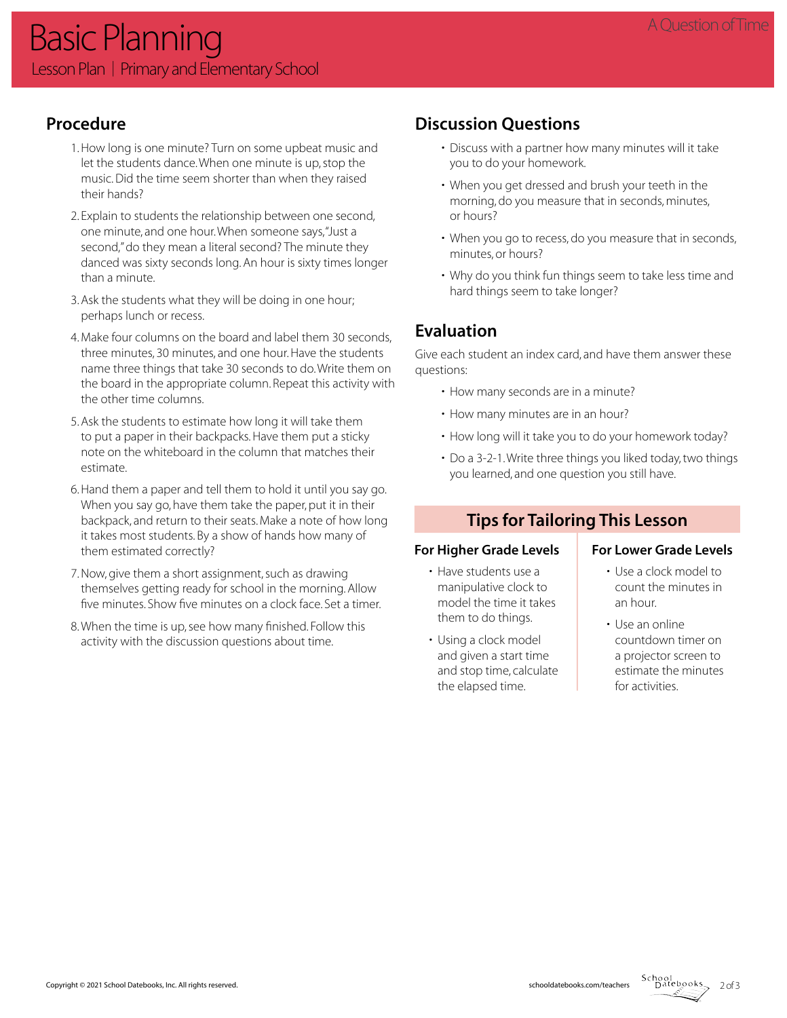## **Procedure**

- 1. How long is one minute? Turn on some upbeat music and let the students dance. When one minute is up, stop the music. Did the time seem shorter than when they raised their hands?
- 2. Explain to students the relationship between one second, one minute, and one hour. When someone says, "Just a second," do they mean a literal second? The minute they danced was sixty seconds long. An hour is sixty times longer than a minute.
- 3. Ask the students what they will be doing in one hour; perhaps lunch or recess.
- 4. Make four columns on the board and label them 30 seconds, three minutes, 30 minutes, and one hour. Have the students name three things that take 30 seconds to do. Write them on the board in the appropriate column. Repeat this activity with the other time columns.
- 5. Ask the students to estimate how long it will take them to put a paper in their backpacks. Have them put a sticky note on the whiteboard in the column that matches their estimate.
- 6. Hand them a paper and tell them to hold it until you say go. When you say go, have them take the paper, put it in their backpack, and return to their seats. Make a note of how long it takes most students. By a show of hands how many of them estimated correctly?
- 7. Now, give them a short assignment, such as drawing themselves getting ready for school in the morning. Allow five minutes. Show five minutes on a clock face. Set a timer.
- 8. When the time is up, see how many finished. Follow this activity with the discussion questions about time.

## **Discussion Questions**

- Discuss with a partner how many minutes will it take you to do your homework.
- When you get dressed and brush your teeth in the morning, do you measure that in seconds, minutes, or hours?
- When you go to recess, do you measure that in seconds, minutes, or hours?
- Why do you think fun things seem to take less time and hard things seem to take longer?

## **Evaluation**

Give each student an index card, and have them answer these questions:

- How many seconds are in a minute?
- How many minutes are in an hour?
- How long will it take you to do your homework today?
- Do a 3-2-1. Write three things you liked today, two things you learned, and one question you still have.

#### **Tips for Tailoring This Lesson**

#### For Higher Grade Levels | For Lower Grade Levels

- Have students use a manipulative clock to model the time it takes them to do things.
- Using a clock model and given a start time and stop time, calculate the elapsed time.

- Use a clock model to count the minutes in an hour.
- Use an online countdown timer on a projector screen to estimate the minutes for activities.